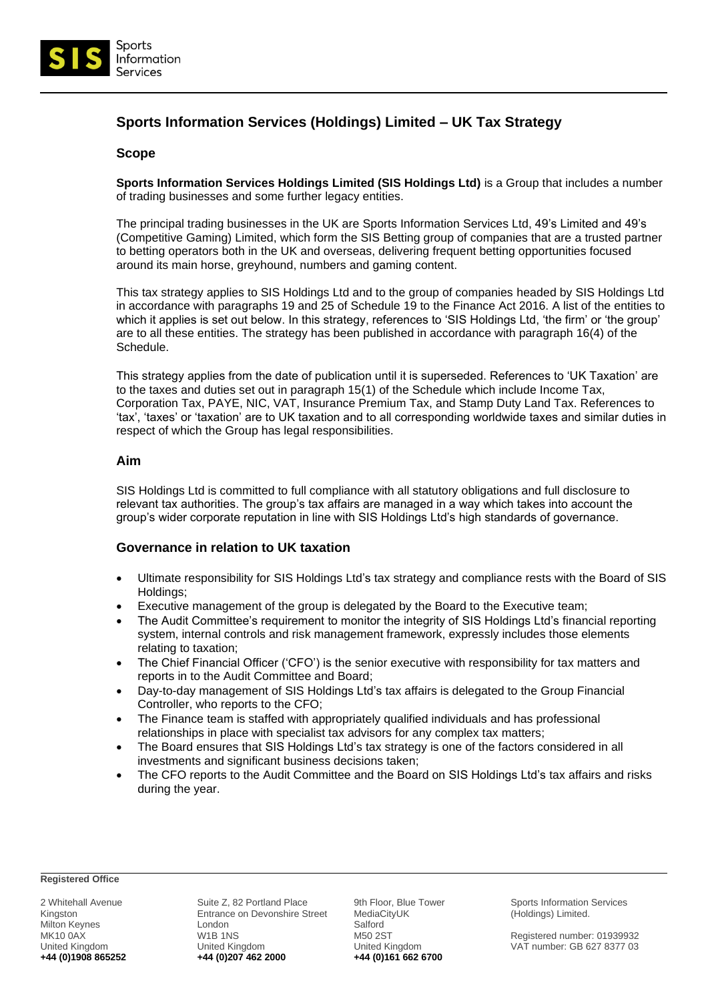

# **Sports Information Services (Holdings) Limited – UK Tax Strategy**

### **Scope**

**Sports Information Services Holdings Limited (SIS Holdings Ltd)** is a Group that includes a number of trading businesses and some further legacy entities.

The principal trading businesses in the UK are Sports Information Services Ltd, 49's Limited and 49's (Competitive Gaming) Limited, which form the SIS Betting group of companies that are a trusted partner to betting operators both in the UK and overseas, delivering frequent betting opportunities focused around its main horse, greyhound, numbers and gaming content.

This tax strategy applies to SIS Holdings Ltd and to the group of companies headed by SIS Holdings Ltd in accordance with paragraphs 19 and 25 of Schedule 19 to the Finance Act 2016. A list of the entities to which it applies is set out below. In this strategy, references to 'SIS Holdings Ltd, 'the firm' or 'the group' are to all these entities. The strategy has been published in accordance with paragraph 16(4) of the Schedule.

This strategy applies from the date of publication until it is superseded. References to 'UK Taxation' are to the taxes and duties set out in paragraph 15(1) of the Schedule which include Income Tax, Corporation Tax, PAYE, NIC, VAT, Insurance Premium Tax, and Stamp Duty Land Tax. References to 'tax', 'taxes' or 'taxation' are to UK taxation and to all corresponding worldwide taxes and similar duties in respect of which the Group has legal responsibilities.

### **Aim**

SIS Holdings Ltd is committed to full compliance with all statutory obligations and full disclosure to relevant tax authorities. The group's tax affairs are managed in a way which takes into account the group's wider corporate reputation in line with SIS Holdings Ltd's high standards of governance.

# **Governance in relation to UK taxation**

- Ultimate responsibility for SIS Holdings Ltd's tax strategy and compliance rests with the Board of SIS Holdings;
- Executive management of the group is delegated by the Board to the Executive team;
- The Audit Committee's requirement to monitor the integrity of SIS Holdings Ltd's financial reporting system, internal controls and risk management framework, expressly includes those elements relating to taxation;
- The Chief Financial Officer ('CFO') is the senior executive with responsibility for tax matters and reports in to the Audit Committee and Board;
- Day-to-day management of SIS Holdings Ltd's tax affairs is delegated to the Group Financial Controller, who reports to the CFO;
- The Finance team is staffed with appropriately qualified individuals and has professional relationships in place with specialist tax advisors for any complex tax matters;
- The Board ensures that SIS Holdings Ltd's tax strategy is one of the factors considered in all investments and significant business decisions taken;
- The CFO reports to the Audit Committee and the Board on SIS Holdings Ltd's tax affairs and risks during the year.

#### **Registered Office**

2 Whitehall Avenue Kingston Milton Keynes MK10 0AX United Kingdom **+44 (0)1908 865252**

Suite Z, 82 Portland Place Entrance on Devonshire Street London W1B 1NS United Kingdom **+44 (0)207 462 2000**

9th Floor, Blue Tower MediaCityUK Salford M50 2ST United Kingdom **+44 (0)161 662 6700**

Sports Information Services (Holdings) Limited.

Registered number: 01939932 VAT number: GB 627 8377 03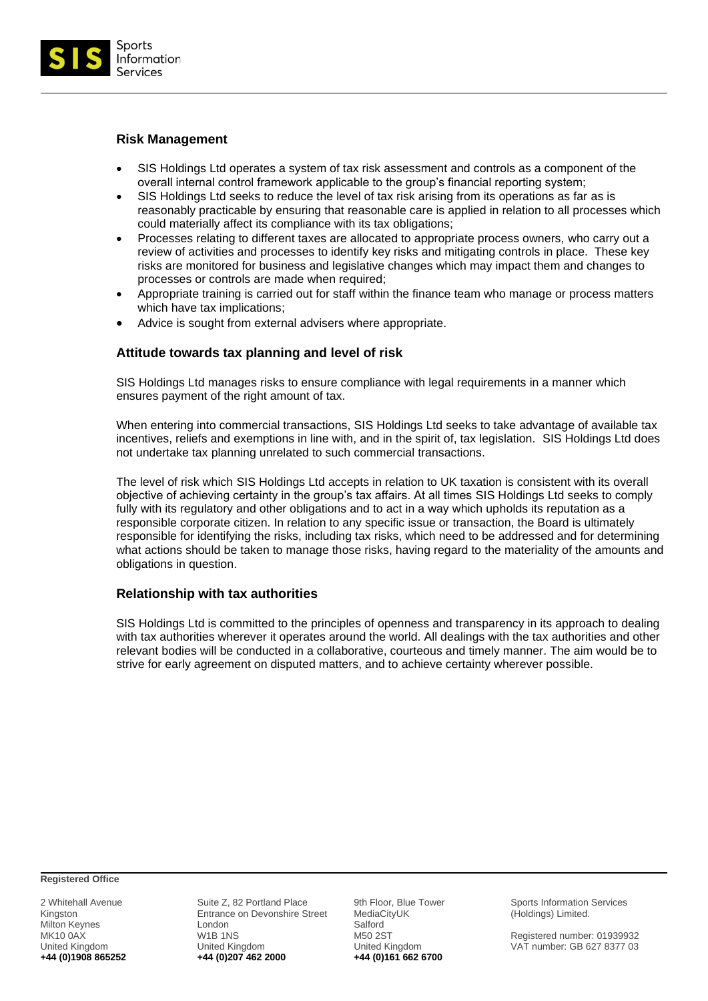

# **Risk Management**

- SIS Holdings Ltd operates a system of tax risk assessment and controls as a component of the overall internal control framework applicable to the group's financial reporting system;
- SIS Holdings Ltd seeks to reduce the level of tax risk arising from its operations as far as is reasonably practicable by ensuring that reasonable care is applied in relation to all processes which could materially affect its compliance with its tax obligations;
- Processes relating to different taxes are allocated to appropriate process owners, who carry out a review of activities and processes to identify key risks and mitigating controls in place. These key risks are monitored for business and legislative changes which may impact them and changes to processes or controls are made when required;
- Appropriate training is carried out for staff within the finance team who manage or process matters which have tax implications;
- Advice is sought from external advisers where appropriate.

# **Attitude towards tax planning and level of risk**

SIS Holdings Ltd manages risks to ensure compliance with legal requirements in a manner which ensures payment of the right amount of tax.

When entering into commercial transactions, SIS Holdings Ltd seeks to take advantage of available tax incentives, reliefs and exemptions in line with, and in the spirit of, tax legislation. SIS Holdings Ltd does not undertake tax planning unrelated to such commercial transactions.

The level of risk which SIS Holdings Ltd accepts in relation to UK taxation is consistent with its overall objective of achieving certainty in the group's tax affairs. At all times SIS Holdings Ltd seeks to comply fully with its regulatory and other obligations and to act in a way which upholds its reputation as a responsible corporate citizen. In relation to any specific issue or transaction, the Board is ultimately responsible for identifying the risks, including tax risks, which need to be addressed and for determining what actions should be taken to manage those risks, having regard to the materiality of the amounts and obligations in question.

# **Relationship with tax authorities**

SIS Holdings Ltd is committed to the principles of openness and transparency in its approach to dealing with tax authorities wherever it operates around the world. All dealings with the tax authorities and other relevant bodies will be conducted in a collaborative, courteous and timely manner. The aim would be to strive for early agreement on disputed matters, and to achieve certainty wherever possible.

**Registered Office**

2 Whitehall Avenue Kingston Milton Keynes MK10 0AX United Kingdom **+44 (0)1908 865252**

Suite Z, 82 Portland Place Entrance on Devonshire Street London W1B 1NS United Kingdom **+44 (0)207 462 2000**

9th Floor, Blue Tower MediaCityUK Salford M50 2ST United Kingdom **+44 (0)161 662 6700**

Sports Information Services (Holdings) Limited.

Registered number: 01939932 VAT number: GB 627 8377 03